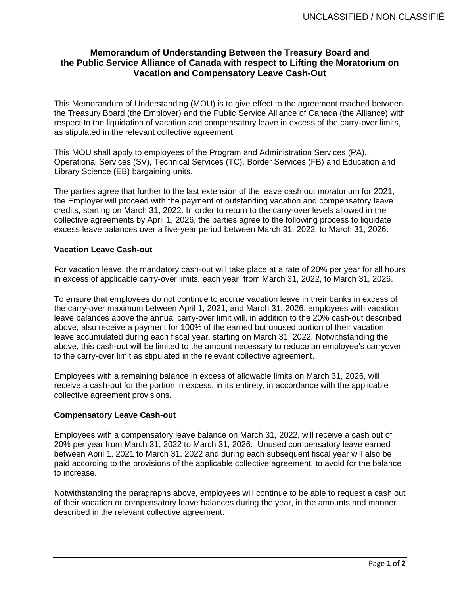## **Memorandum of Understanding Between the Treasury Board and the Public Service Alliance of Canada with respect to Lifting the Moratorium on Vacation and Compensatory Leave Cash-Out**

This Memorandum of Understanding (MOU) is to give effect to the agreement reached between the Treasury Board (the Employer) and the Public Service Alliance of Canada (the Alliance) with respect to the liquidation of vacation and compensatory leave in excess of the carry-over limits, as stipulated in the relevant collective agreement.

This MOU shall apply to employees of the Program and Administration Services (PA), Operational Services (SV), Technical Services (TC), Border Services (FB) and Education and Library Science (EB) bargaining units.

The parties agree that further to the last extension of the leave cash out moratorium for 2021, the Employer will proceed with the payment of outstanding vacation and compensatory leave credits, starting on March 31, 2022. In order to return to the carry-over levels allowed in the collective agreements by April 1, 2026, the parties agree to the following process to liquidate excess leave balances over a five-year period between March 31, 2022, to March 31, 2026:

## **Vacation Leave Cash-out**

For vacation leave, the mandatory cash-out will take place at a rate of 20% per year for all hours in excess of applicable carry-over limits, each year, from March 31, 2022, to March 31, 2026.

To ensure that employees do not continue to accrue vacation leave in their banks in excess of the carry-over maximum between April 1, 2021, and March 31, 2026, employees with vacation leave balances above the annual carry-over limit will, in addition to the 20% cash-out described above, also receive a payment for 100% of the earned but unused portion of their vacation leave accumulated during each fiscal year, starting on March 31, 2022. Notwithstanding the above, this cash-out will be limited to the amount necessary to reduce an employee's carryover to the carry-over limit as stipulated in the relevant collective agreement.

Employees with a remaining balance in excess of allowable limits on March 31, 2026, will receive a cash-out for the portion in excess, in its entirety, in accordance with the applicable collective agreement provisions.

## **Compensatory Leave Cash-out**

Employees with a compensatory leave balance on March 31, 2022, will receive a cash out of 20% per year from March 31, 2022 to March 31, 2026. Unused compensatory leave earned between April 1, 2021 to March 31, 2022 and during each subsequent fiscal year will also be paid according to the provisions of the applicable collective agreement, to avoid for the balance to increase.

Notwithstanding the paragraphs above, employees will continue to be able to request a cash out of their vacation or compensatory leave balances during the year, in the amounts and manner described in the relevant collective agreement.